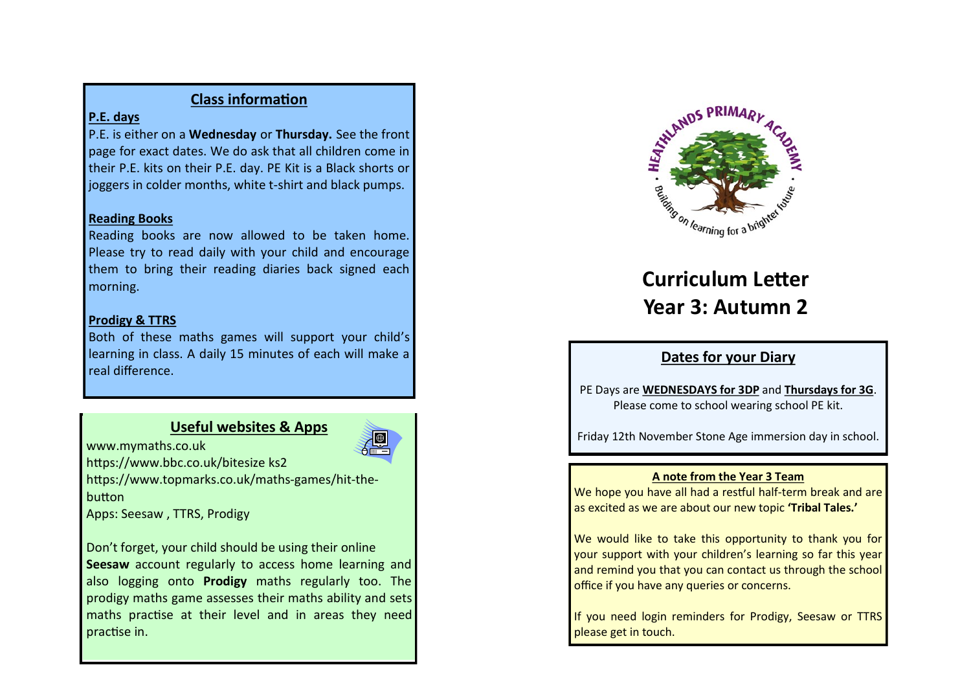## **Class information**

## **P.E. days**

P.E. is either on a **Wednesday** or **Thursday.** See the front page for exact dates. We do ask that all children come in their P.E. kits on their P.E. day. PE Kit is a Black shorts or joggers in colder months, white t-shirt and black pumps.

## **Reading Books**

Reading books are now allowed to be taken home. Please try to read daily with your child and encourage them to bring their reading diaries back signed each morning.

## **Prodigy & TTRS**

Both of these maths games will support your child's learning in class. A daily 15 minutes of each will make a real difference.

# **Useful websites & Apps**



www.mymaths.co.uk https://www.bbc.co.uk/bitesize ks2

https://www.topmarks.co.uk/maths-games/hit-thebutton

Apps: Seesaw , TTRS, Prodigy

Don't forget, your child should be using their online **Seesaw** account regularly to access home learning and also logging onto **Prodigy** maths regularly too. The prodigy maths game assesses their maths ability and sets maths practise at their level and in areas they need practise in.



# **Curriculum Letter Year 3: Autumn 2**

# **Dates for your Diary**

PE Days are **WEDNESDAYS for 3DP** and **Thursdays for 3G**. Please come to school wearing school PE kit.

Friday 12th November Stone Age immersion day in school.

## **A note from the Year 3 Team**

We hope you have all had a restful half-term break and are as excited as we are about our new topic **'Tribal Tales.'** 

We would like to take this opportunity to thank you for your support with your children's learning so far this year and remind you that you can contact us through the school office if you have any queries or concerns.

If you need login reminders for Prodigy, Seesaw or TTRS please get in touch.